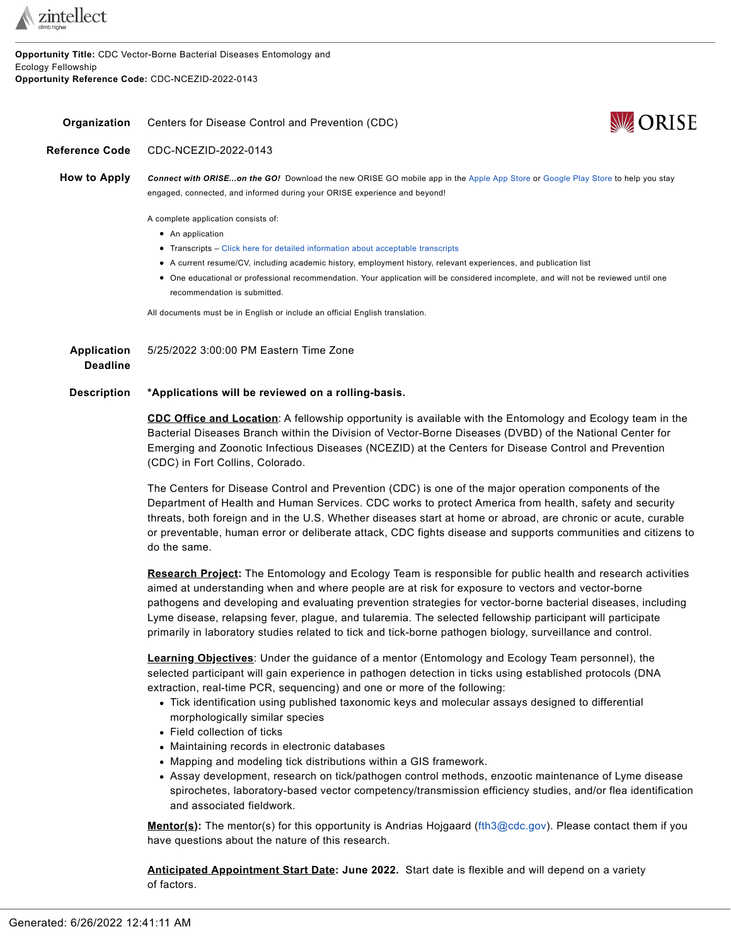

**Opportunity Title:** CDC Vector-Borne Bacterial Diseases Entomology and Ecology Fellowship **Opportunity Reference Code:** CDC-NCEZID-2022-0143

<span id="page-0-0"></span>**Organization** Centers for Disease Control and Prevention (CDC)



**Reference Code** CDC-NCEZID-2022-0143

**How to Apply** *Connect with ORISE...on the GO!* Download the new ORISE GO mobile app in the [Apple](https://apps.apple.com/us/app/orise-go/id1491975263) App Store or [Google](https://play.google.com/store/apps/details?id=org.orau.ima.orisego&hl=en_US) Play Store to help you stay engaged, connected, and informed during your ORISE experience and beyond!

A complete application consists of:

- An application
- Transcripts Click here for detailed [information](http://orise.orau.gov/sepreview/transcripts.html) about acceptable transcripts
- A current resume/CV, including academic history, employment history, relevant experiences, and publication list
- One educational or professional recommendation. Your application will be considered incomplete, and will not be reviewed until one recommendation is submitted.

All documents must be in English or include an official English translation.

**Application Deadline** 5/25/2022 3:00:00 PM Eastern Time Zone

## **Description \*Applications will be reviewed on a rolling-basis.**

**CDC Office and Location**: A fellowship opportunity is available with the Entomology and Ecology team in the Bacterial Diseases Branch within the Division of Vector-Borne Diseases (DVBD) of the National Center for Emerging and Zoonotic Infectious Diseases (NCEZID) at the Centers for Disease Control and Prevention (CDC) in Fort Collins, Colorado.

The Centers for Disease Control and Prevention (CDC) is one of the major operation components of the Department of Health and Human Services. CDC works to protect America from health, safety and security threats, both foreign and in the U.S. Whether diseases start at home or abroad, are chronic or acute, curable or preventable, human error or deliberate attack, CDC fights disease and supports communities and citizens to do the same.

**Research Project:** The Entomology and Ecology Team is responsible for public health and research activities aimed at understanding when and where people are at risk for exposure to vectors and vector-borne pathogens and developing and evaluating prevention strategies for vector-borne bacterial diseases, including Lyme disease, relapsing fever, plague, and tularemia. The selected fellowship participant will participate primarily in laboratory studies related to tick and tick-borne pathogen biology, surveillance and control.

**Learning Objectives**: Under the guidance of a mentor (Entomology and Ecology Team personnel), the selected participant will gain experience in pathogen detection in ticks using established protocols (DNA extraction, real-time PCR, sequencing) and one or more of the following:

- Tick identification using published taxonomic keys and molecular assays designed to differential morphologically similar species
- Field collection of ticks
- Maintaining records in electronic databases
- Mapping and modeling tick distributions within a GIS framework.
- Assay development, research on tick/pathogen control methods, enzootic maintenance of Lyme disease spirochetes, laboratory-based vector competency/transmission efficiency studies, and/or flea identification and associated fieldwork.

**Mentor(s):** The mentor(s) for this opportunity is Andrias Hojgaard [\(fth3@cdc.gov\)](mailto:fth3@cdc.gov). Please contact them if you have questions about the nature of this research.

**Anticipated Appointment Start Date: June 2022.** Start date is flexible and will depend on a variety of factors.